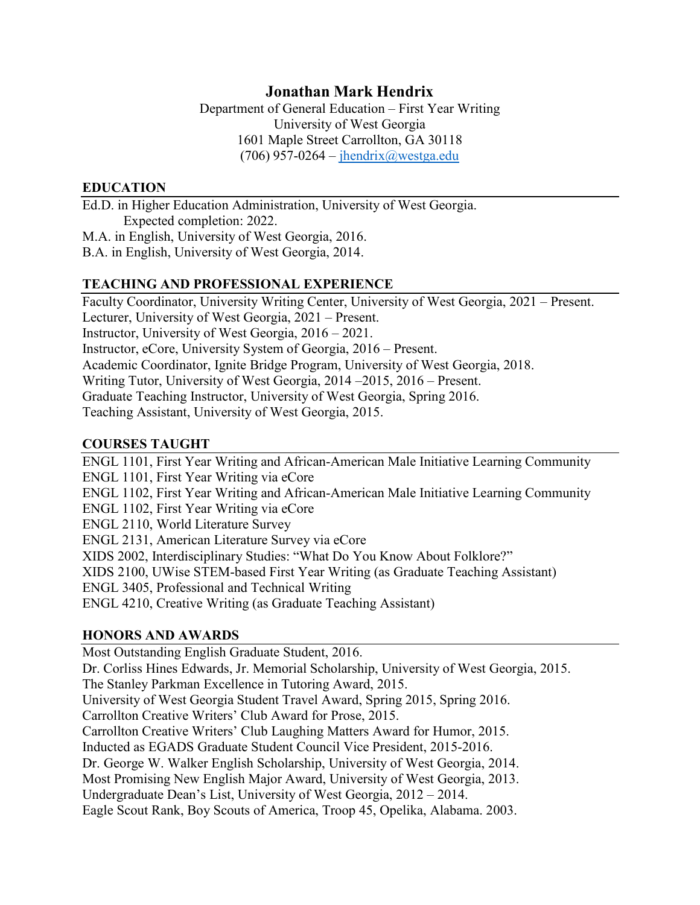# **Jonathan Mark Hendrix**

Department of General Education – First Year Writing University of West Georgia 1601 Maple Street Carrollton, GA 30118 (706) 957-0264 – [jhendrix@westga.edu](mailto:jhendrix@westga.edu)

### **EDUCATION**

Ed.D. in Higher Education Administration, University of West Georgia. Expected completion: 2022.

M.A. in English, University of West Georgia, 2016.

B.A. in English, University of West Georgia, 2014.

#### **TEACHING AND PROFESSIONAL EXPERIENCE**

Faculty Coordinator, University Writing Center, University of West Georgia, 2021 – Present. Lecturer, University of West Georgia, 2021 – Present. Instructor, University of West Georgia, 2016 – 2021. Instructor, eCore, University System of Georgia, 2016 – Present. Academic Coordinator, Ignite Bridge Program, University of West Georgia, 2018. Writing Tutor, University of West Georgia, 2014 –2015, 2016 – Present. Graduate Teaching Instructor, University of West Georgia, Spring 2016. Teaching Assistant, University of West Georgia, 2015.

## **COURSES TAUGHT**

ENGL 1101, First Year Writing and African-American Male Initiative Learning Community ENGL 1101, First Year Writing via eCore ENGL 1102, First Year Writing and African-American Male Initiative Learning Community ENGL 1102, First Year Writing via eCore ENGL 2110, World Literature Survey ENGL 2131, American Literature Survey via eCore XIDS 2002, Interdisciplinary Studies: "What Do You Know About Folklore?" XIDS 2100, UWise STEM-based First Year Writing (as Graduate Teaching Assistant) ENGL 3405, Professional and Technical Writing ENGL 4210, Creative Writing (as Graduate Teaching Assistant)

## **HONORS AND AWARDS**

Most Outstanding English Graduate Student, 2016. Dr. Corliss Hines Edwards, Jr. Memorial Scholarship, University of West Georgia, 2015. The Stanley Parkman Excellence in Tutoring Award, 2015. University of West Georgia Student Travel Award, Spring 2015, Spring 2016. Carrollton Creative Writers' Club Award for Prose, 2015. Carrollton Creative Writers' Club Laughing Matters Award for Humor, 2015. Inducted as EGADS Graduate Student Council Vice President, 2015-2016. Dr. George W. Walker English Scholarship, University of West Georgia, 2014. Most Promising New English Major Award, University of West Georgia, 2013. Undergraduate Dean's List, University of West Georgia, 2012 – 2014. Eagle Scout Rank, Boy Scouts of America, Troop 45, Opelika, Alabama. 2003.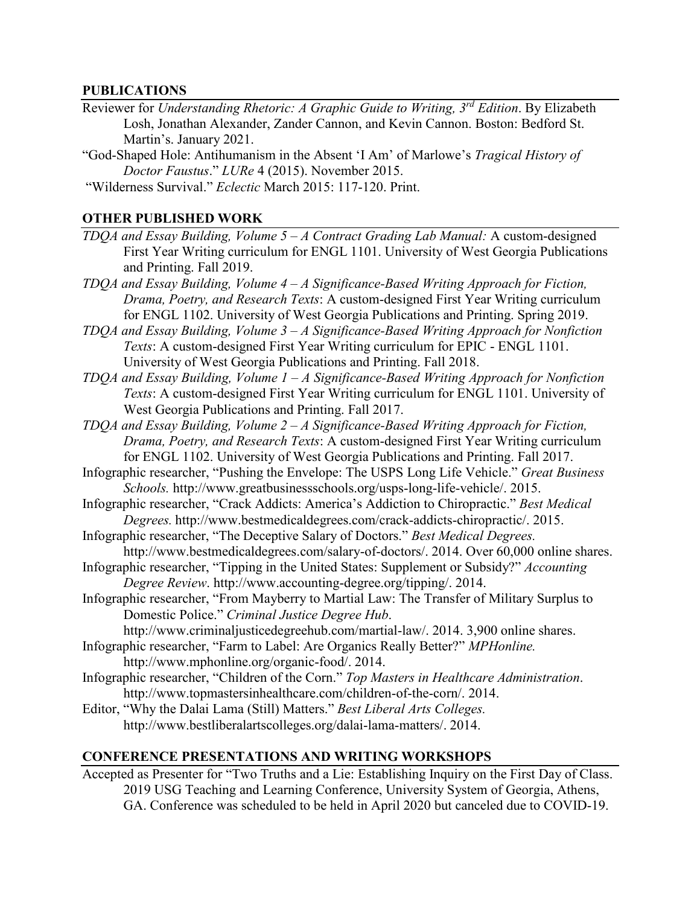#### **PUBLICATIONS**

- Reviewer for *Understanding Rhetoric: A Graphic Guide to Writing, 3rd Edition*. By Elizabeth Losh, Jonathan Alexander, Zander Cannon, and Kevin Cannon. Boston: Bedford St. Martin's. January 2021.
- "God-Shaped Hole: Antihumanism in the Absent 'I Am' of Marlowe's *Tragical History of Doctor Faustus*." *LURe* 4 (2015). November 2015.

"Wilderness Survival." *Eclectic* March 2015: 117-120. Print.

#### **OTHER PUBLISHED WORK**

- *TDQA and Essay Building, Volume 5 – A Contract Grading Lab Manual:* A custom-designed First Year Writing curriculum for ENGL 1101. University of West Georgia Publications and Printing. Fall 2019.
- *TDQA and Essay Building, Volume 4 – A Significance-Based Writing Approach for Fiction, Drama, Poetry, and Research Texts*: A custom-designed First Year Writing curriculum for ENGL 1102. University of West Georgia Publications and Printing. Spring 2019.
- *TDQA and Essay Building, Volume 3 – A Significance-Based Writing Approach for Nonfiction Texts*: A custom-designed First Year Writing curriculum for EPIC - ENGL 1101. University of West Georgia Publications and Printing. Fall 2018.
- *TDQA and Essay Building, Volume 1 – A Significance-Based Writing Approach for Nonfiction Texts*: A custom-designed First Year Writing curriculum for ENGL 1101. University of West Georgia Publications and Printing. Fall 2017.
- *TDQA and Essay Building, Volume 2 – A Significance-Based Writing Approach for Fiction, Drama, Poetry, and Research Texts*: A custom-designed First Year Writing curriculum for ENGL 1102. University of West Georgia Publications and Printing. Fall 2017.
- Infographic researcher, "Pushing the Envelope: The USPS Long Life Vehicle." *Great Business Schools.* [http://www.greatbusinessschools.org/usps-long-life-vehicle/.](http://www.greatbusinessschools.org/usps-long-life-vehicle/) 2015.
- Infographic researcher, "Crack Addicts: America's Addiction to Chiropractic." *Best Medical Degrees.* [http://www.bestmedicaldegrees.com/crack-addicts-chiropractic/.](http://www.bestmedicaldegrees.com/crack-addicts-chiropractic/) 2015.
- Infographic researcher, "The Deceptive Salary of Doctors." *Best Medical Degrees.* [http://www.bestmedicaldegrees.com/salary-of-doctors/.](http://www.bestmedicaldegrees.com/salary-of-doctors/) 2014. Over 60,000 online shares.
- Infographic researcher, "Tipping in the United States: Supplement or Subsidy?" *Accounting Degree Review*. [http://www.accounting-degree.org/tipping/.](http://www.accounting-degree.org/tipping/) 2014.
- Infographic researcher, "From Mayberry to Martial Law: The Transfer of Military Surplus to Domestic Police." *Criminal Justice Degree Hub*.

[http://www.criminaljusticedegreehub.com/martial-law/.](http://www.criminaljusticedegreehub.com/martial-law/) 2014. 3,900 online shares.

Infographic researcher, "Farm to Label: Are Organics Really Better?" *MPHonline.* [http://www.mphonline.org/organic-food/.](http://www.mphonline.org/organic-food/) 2014.

Infographic researcher, "Children of the Corn." *Top Masters in Healthcare Administration*. [http://www.topmastersinhealthcare.com/children-of-the-corn/.](http://www.topmastersinhealthcare.com/children-of-the-corn/) 2014.

Editor, "Why the Dalai Lama (Still) Matters." *Best Liberal Arts Colleges.* [http://www.bestliberalartscolleges.org/dalai-lama-matters/.](http://www.bestliberalartscolleges.org/dalai-lama-matters/) 2014.

## **CONFERENCE PRESENTATIONS AND WRITING WORKSHOPS**

Accepted as Presenter for "Two Truths and a Lie: Establishing Inquiry on the First Day of Class. 2019 USG Teaching and Learning Conference, University System of Georgia, Athens, GA. Conference was scheduled to be held in April 2020 but canceled due to COVID-19.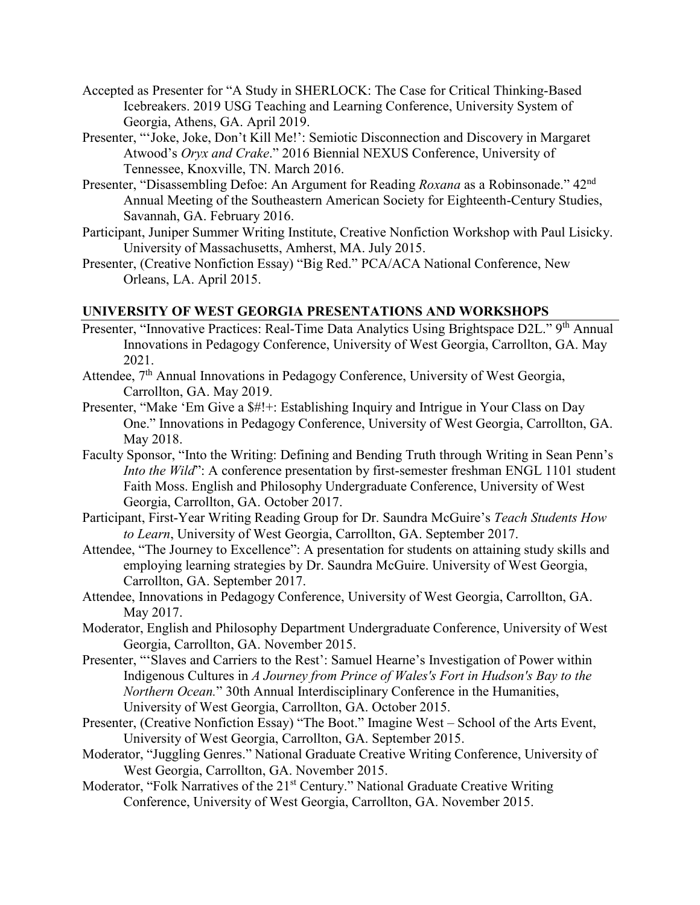- Accepted as Presenter for "A Study in SHERLOCK: The Case for Critical Thinking-Based Icebreakers. 2019 USG Teaching and Learning Conference, University System of Georgia, Athens, GA. April 2019.
- Presenter, "'Joke, Joke, Don't Kill Me!': Semiotic Disconnection and Discovery in Margaret Atwood's *Oryx and Crake*." 2016 Biennial NEXUS Conference, University of Tennessee, Knoxville, TN. March 2016.
- Presenter, "Disassembling Defoe: An Argument for Reading *Roxana* as a Robinsonade." 42<sup>nd</sup> Annual Meeting of the Southeastern American Society for Eighteenth-Century Studies, Savannah, GA. February 2016.
- Participant, Juniper Summer Writing Institute, Creative Nonfiction Workshop with Paul Lisicky. University of Massachusetts, Amherst, MA. July 2015.
- Presenter, (Creative Nonfiction Essay) "Big Red." PCA/ACA National Conference, New Orleans, LA. April 2015.

## **UNIVERSITY OF WEST GEORGIA PRESENTATIONS AND WORKSHOPS**

- Presenter, "Innovative Practices: Real-Time Data Analytics Using Brightspace D2L." 9<sup>th</sup> Annual Innovations in Pedagogy Conference, University of West Georgia, Carrollton, GA. May 2021.
- Attendee, 7<sup>th</sup> Annual Innovations in Pedagogy Conference, University of West Georgia, Carrollton, GA. May 2019.
- Presenter, "Make 'Em Give a \$#!+: Establishing Inquiry and Intrigue in Your Class on Day One." Innovations in Pedagogy Conference, University of West Georgia, Carrollton, GA. May 2018.
- Faculty Sponsor, "Into the Writing: Defining and Bending Truth through Writing in Sean Penn's *Into the Wild*": A conference presentation by first-semester freshman ENGL 1101 student Faith Moss. English and Philosophy Undergraduate Conference, University of West Georgia, Carrollton, GA. October 2017.
- Participant, First-Year Writing Reading Group for Dr. Saundra McGuire's *Teach Students How to Learn*, University of West Georgia, Carrollton, GA. September 2017.
- Attendee, "The Journey to Excellence": A presentation for students on attaining study skills and employing learning strategies by Dr. Saundra McGuire. University of West Georgia, Carrollton, GA. September 2017.
- Attendee, Innovations in Pedagogy Conference, University of West Georgia, Carrollton, GA. May 2017.
- Moderator, English and Philosophy Department Undergraduate Conference, University of West Georgia, Carrollton, GA. November 2015.
- Presenter, "'Slaves and Carriers to the Rest': Samuel Hearne's Investigation of Power within Indigenous Cultures in *A Journey from Prince of Wales's Fort in Hudson's Bay to the Northern Ocean.*" 30th Annual Interdisciplinary Conference in the Humanities, University of West Georgia, Carrollton, GA. October 2015.
- Presenter, (Creative Nonfiction Essay) "The Boot." Imagine West School of the Arts Event, University of West Georgia, Carrollton, GA. September 2015.
- Moderator, "Juggling Genres." National Graduate Creative Writing Conference, University of West Georgia, Carrollton, GA. November 2015.
- Moderator, "Folk Narratives of the 21<sup>st</sup> Century." National Graduate Creative Writing Conference, University of West Georgia, Carrollton, GA. November 2015.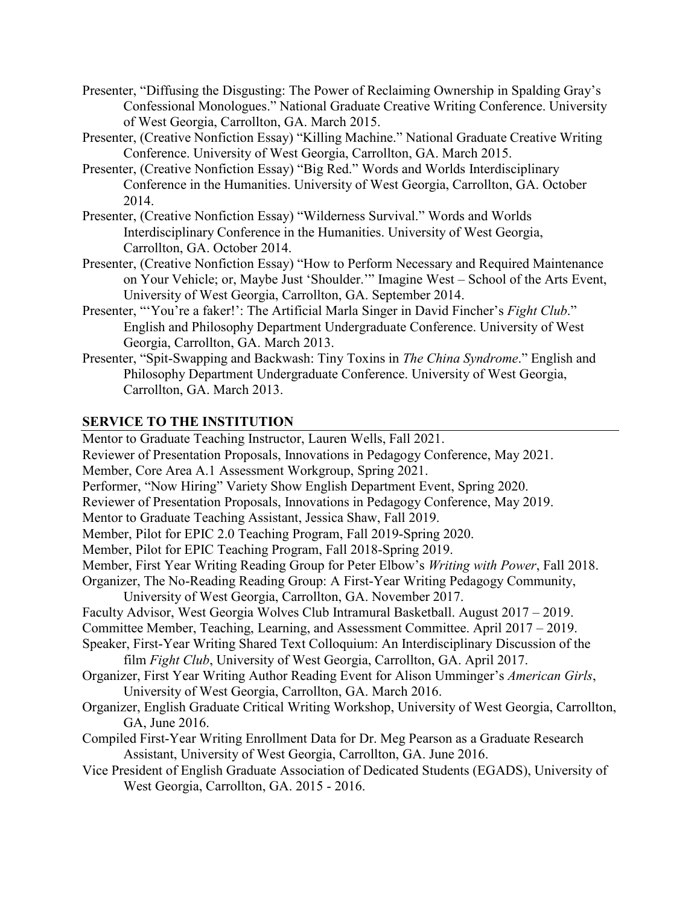- Presenter, "Diffusing the Disgusting: The Power of Reclaiming Ownership in Spalding Gray's Confessional Monologues." National Graduate Creative Writing Conference. University of West Georgia, Carrollton, GA. March 2015.
- Presenter, (Creative Nonfiction Essay) "Killing Machine." National Graduate Creative Writing Conference. University of West Georgia, Carrollton, GA. March 2015.
- Presenter, (Creative Nonfiction Essay) "Big Red." Words and Worlds Interdisciplinary Conference in the Humanities. University of West Georgia, Carrollton, GA. October 2014.
- Presenter, (Creative Nonfiction Essay) "Wilderness Survival." Words and Worlds Interdisciplinary Conference in the Humanities. University of West Georgia, Carrollton, GA. October 2014.
- Presenter, (Creative Nonfiction Essay) "How to Perform Necessary and Required Maintenance on Your Vehicle; or, Maybe Just 'Shoulder.'" Imagine West – School of the Arts Event, University of West Georgia, Carrollton, GA. September 2014.
- Presenter, "'You're a faker!': The Artificial Marla Singer in David Fincher's *Fight Club*." English and Philosophy Department Undergraduate Conference. University of West Georgia, Carrollton, GA. March 2013.
- Presenter, "Spit-Swapping and Backwash: Tiny Toxins in *The China Syndrome*." English and Philosophy Department Undergraduate Conference. University of West Georgia, Carrollton, GA. March 2013.

## **SERVICE TO THE INSTITUTION**

Mentor to Graduate Teaching Instructor, Lauren Wells, Fall 2021. Reviewer of Presentation Proposals, Innovations in Pedagogy Conference, May 2021. Member, Core Area A.1 Assessment Workgroup, Spring 2021. Performer, "Now Hiring" Variety Show English Department Event, Spring 2020. Reviewer of Presentation Proposals, Innovations in Pedagogy Conference, May 2019. Mentor to Graduate Teaching Assistant, Jessica Shaw, Fall 2019. Member, Pilot for EPIC 2.0 Teaching Program, Fall 2019-Spring 2020. Member, Pilot for EPIC Teaching Program, Fall 2018-Spring 2019. Member, First Year Writing Reading Group for Peter Elbow's *Writing with Power*, Fall 2018. Organizer, The No-Reading Reading Group: A First-Year Writing Pedagogy Community, University of West Georgia, Carrollton, GA. November 2017. Faculty Advisor, West Georgia Wolves Club Intramural Basketball. August 2017 – 2019. Committee Member, Teaching, Learning, and Assessment Committee. April 2017 – 2019. Speaker, First-Year Writing Shared Text Colloquium: An Interdisciplinary Discussion of the film *Fight Club*, University of West Georgia, Carrollton, GA. April 2017. Organizer, First Year Writing Author Reading Event for Alison Umminger's *American Girls*, University of West Georgia, Carrollton, GA. March 2016. Organizer, English Graduate Critical Writing Workshop, University of West Georgia, Carrollton, GA, June 2016. Compiled First-Year Writing Enrollment Data for Dr. Meg Pearson as a Graduate Research Assistant, University of West Georgia, Carrollton, GA. June 2016. Vice President of English Graduate Association of Dedicated Students (EGADS), University of West Georgia, Carrollton, GA. 2015 - 2016.